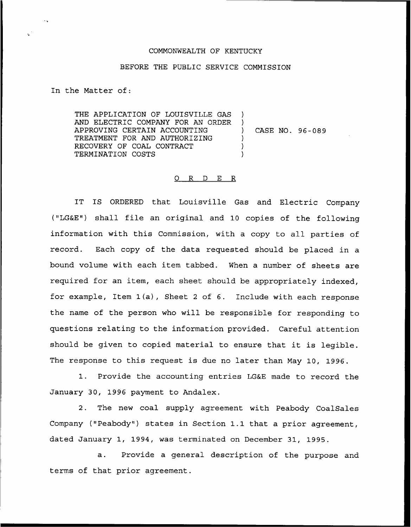## COMMONWEALTH OF KENTUCKY

## BEFORE THE PUBLIC SERVICE COMMISSION

) )<br>)

) ) )

In the Matter of:

THE APPLICATION OF LOUISVILLE GAS AND ELECTRIC COMPANY FOR AN ORDER APPROVING CERTAIN ACCOUNTING TREATMENT FOR AND AUTHORIZING RECOVERY OF COAL CONTRACT TERMINATION COSTS

) CASE NO. 96-089

## 0 R <sup>D</sup> E R

IT IS ORDERED that Louisville Gas and Electric Company ("LG&E") shall file an original and 10 copies of the following information with this Commission, with a copy to all parties of record. Each copy of the data requested should be placed in a bound volume with each item tabbed. When a number of sheets are required for an item, each sheet should be appropriately indexed, for example, Item 1(a), Sheet <sup>2</sup> of 6. Include with each response the name of the person who will be responsible for responding to questions relating to the information provided. Careful attention should be given to copied material to ensure that it is legible. The response to this request is due no later than May 10, 1996.

1. Provide the accounting entries LG&E made to record the January 30, 1996 payment to Andalex.

2. The new coal supply agreement with Peabody CoalSales Company ("Peabody") states in Section 1.1 that a prior agreement, dated January 1, 1994, was terminated on December 31, 1995.

a. Provide a general description of the purpose and terms of that prior agreement.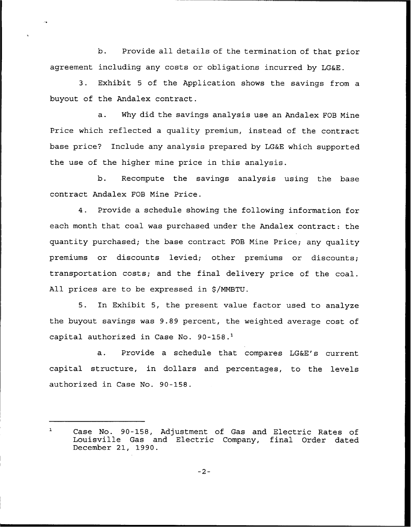b. Provide all details of the termination of that prior agreement including any costs or obligations incurred by LG&E.

3. Exhibit <sup>5</sup> of the Application shows the savings from a buyout of the Andalex contract.

a. Why did the savings analysis use an Andalex FOB Mine Price which reflected a quality premium, instead of the contract base price? Include any analysis prepared by LG&E which supported the use of the higher mine price in this analysis.

b. Recompute the savings analysis using the base contract Andalex FOB Mine Price.

4. Provide a schedule showing the following information for each month that coal was purchased under the Andalex contract: the quantity purchased; the base contract FOB Mine Price; any quality premiums or discounts levied; other premiums or discounts; transportation costs; and the final delivery price of the coal. All prices are to be expressed in \$/MMBTU.

5. In Exhibit 5, the present value factor used to analyze the buyout savings was 9.89 percent, the weighted average cost of capital authorized in Case No. 90-158.'.

Provide a schedule that compares LG&E's current  $a.$ capital structure, in dollars and percentages, to the levels authorized in Case No. 90-158.

 $\mathbf{1}$ Case No. 90-158, Adjustment of Gas and Electric Rates of Louisville Gas and Electric Company, final Order dated December 21, 1990.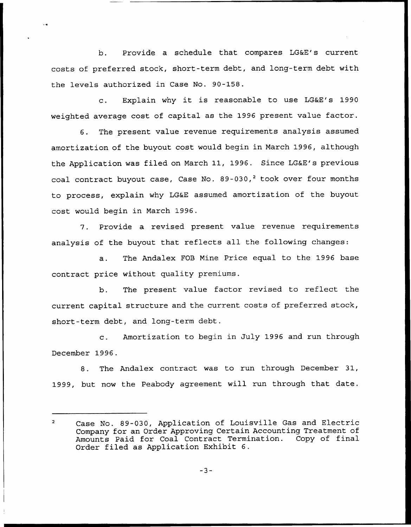b. Provide a schedule that compares LG&E's current costs of preferred stock, short-term debt, and long-term debt with the levels authorized in Case No. 90-158.

c. Explain why it is reasonable to use LG&E's <sup>1990</sup> weighted average cost of capital as the 1996 present value factor.

6. The present value revenue requirements analysis assumed amortization of the buyout cost would begin in March 1996, although the Application was filed on March 11, 1996. Since LG&E's previous coal contract buyout case, Case No.  $89-030$ , took over four months to process, explain why LG&E assumed amortization of the buyout cost would begin in March 1996.

7. Provide a revised present value revenue requirements analysis of the buyout that reflects all the following changes:

a. The Andalex FOB Mine Price equal to the 1996 base contract price without quality premiums.

b. The present value factor revised to reflect the current capital structure and the current costs of preferred stock, short-term debt, and long-term debt.

c. Amortization to begin in July 1996 and run through December 1996.

8. The Andalex contract was to run through December 31, 1999, but now the Peabody agreement will run through that date.

 $\overline{2}$ Case No. 89-030, Application of Louisville Gas and Electric Company for an Order Approving Certain Accounting Treatment of Amounts Paid for Coal Contract Termination. Copy of final Order filed as Application Exhibit 6.